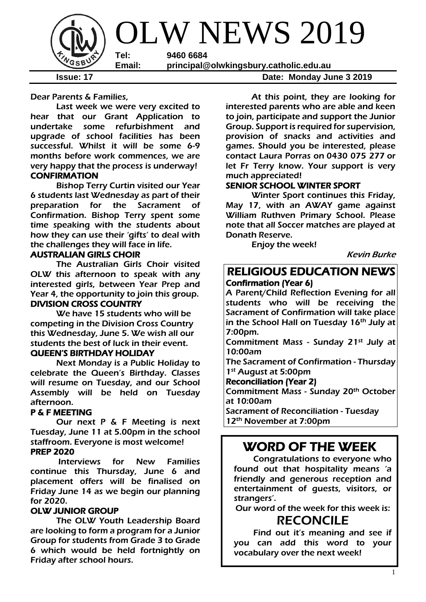

Dear Parents & Families,

Last week we were very excited to hear that our Grant Application to undertake some refurbishment and upgrade of school facilities has been successful. Whilst it will be some 6-9 months before work commences, we are very happy that the process is underway! **CONFIRMATION** 

Bishop Terry Curtin visited our Year 6 students last Wednesday as part of their preparation for the Sacrament of Confirmation. Bishop Terry spent some time speaking with the students about how they can use their 'gifts' to deal with the challenges they will face in life.

#### AUSTRALIAN GIRLS CHOIR

 The Australian Girls Choir visited OLW this afternoon to speak with any interested girls, between Year Prep and Year 4, the opportunity to join this group. DIVISION CROSS COUNTRY

 We have 15 students who will be competing in the Division Cross Country this Wednesday, June 5. We wish all our students the best of luck in their event. QUEEN'S BIRTHDAY HOLIDAY

 Next Monday is a Public Holiday to celebrate the Queen's Birthday. Classes will resume on Tuesday, and our School Assembly will be held on Tuesday afternoon.

#### P & F MEETING

 Our next P & F Meeting is next Tuesday, June 11 at 5.00pm in the school staffroom. Everyone is most welcome! PREP 2020

Interviews for New Families continue this Thursday, June 6 and placement offers will be finalised on Friday June 14 as we begin our planning for 2020.

#### OLW JUNIOR GROUP

The OLW Youth Leadership Board are looking to form a program for a Junior Group for students from Grade 3 to Grade 6 which would be held fortnightly on Friday after school hours.

**Issue: 17 Date: Monday June 3 2019** 

At this point, they are looking for interested parents who are able and keen to join, participate and support the Junior Group. Support is required for supervision, provision of snacks and activities and games. Should you be interested, please contact Laura Porras on 0430 075 277 or let Fr Terry know. Your support is very much appreciated!

## SENIOR SCHOOL WINTER SPORT

Winter Sport continues this Friday, May 17, with an AWAY game against William Ruthven Primary School. Please note that all Soccer matches are played at Donath Reserve.

Enjoy the week!

Kevin Burke

## RELIGIOUS EDUCATION NEWS Confirmation (Year 6)

A Parent/Child Reflection Evening for all students who will be receiving the Sacrament of Confirmation will take place in the School Hall on Tuesday 16<sup>th</sup> July at 7:00pm.

Commitment Mass - Sunday 21st July at 10:00am

The Sacrament of Confirmation - Thursday 1st August at 5:00pm

Reconciliation (Year 2)

Commitment Mass - Sunday 20th October at 10:00am

Sacrament of Reconciliation - Tuesday 12th November at 7:00pm

## WORD OF THE WEEK

Congratulations to everyone who found out that hospitality means 'a friendly and generous reception and entertainment of guests, visitors, or strangers'.

Our word of the week for this week is:

## RECONCILE

Find out it's meaning and see if you can add this word to your vocabulary over the next week!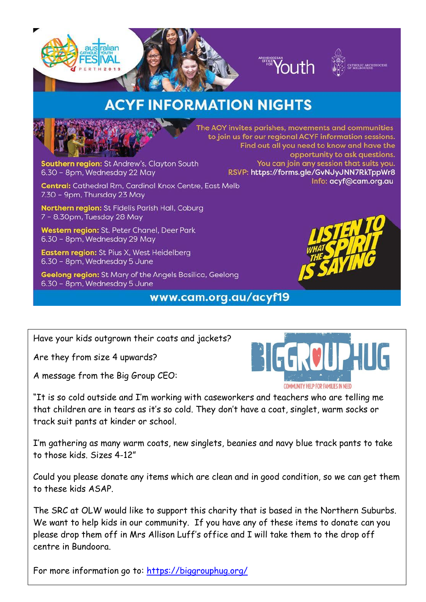



The AOY invites parishes, movements and communities to join us for our regional ACYF information sessions.

Find out all you need to know and have the

RSVP: https://forms.gle/GvNJyJNN7RkTppWr8

You can join any session that suits you.

## **ACYF INFORMATION NIGHTS**

Southern region: St Andrew's, Clayton South 6.30 - 8pm, Wednesday 22 May

**Central:** Cathedral Rm, Cardinal Knox Centre, East Melb 7.30 - 9pm, Thursday 23 May

Northern region: St Fidelis Parish Hall, Coburg 7 - 8.30pm, Tuesday 28 May

Western region: St. Peter Chanel, Deer Park 6.30 - 8pm, Wednesday 29 May

Eastern region: St Pius X, West Heidelberg 6.30 - 8pm, Wednesday 5 June

Geelong region: St Mary of the Angels Basilica, Geelong 6.30 - 8pm, Wednesday 5 June

## www.cam.org.au/acyf19



opportunity to ask questions.

Info: acyf@cam.org.au

Have your kids outgrown their coats and jackets?

Are they from size 4 upwards?

A message from the Big Group CEO:



"It is so cold outside and I'm working with caseworkers and teachers who are telling me that children are in tears as it's so cold. They don't have a coat, singlet, warm socks or track suit pants at kinder or school.

I'm gathering as many warm coats, new singlets, beanies and navy blue track pants to take to those kids. Sizes 4-12"

Could you please donate any items which are clean and in good condition, so we can get them to these kids ASAP.

The SRC at OLW would like to support this charity that is based in the Northern Suburbs. We want to help kids in our community. If you have any of these items to donate can you please drop them off in Mrs Allison Luff's office and I will take them to the drop off centre in Bundoora.

For more information go to:<https://biggrouphug.org/>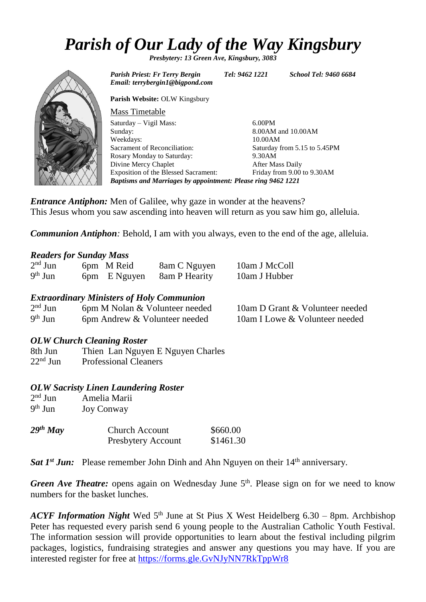# *Parish of Our Lady of the Way Kingsbury*

*Presbytery: 13 Green Ave, Kingsbury, 3083*



*Parish Priest: Fr Terry Bergin Tel: 9462 1221 School Tel: 9460 6684 Email: terrybergin1@bigpond.com* **Parish Website:** OLW Kingsbury Mass Timetable Saturday – Vigil Mass: Sunday: Weekdays: Sacrament of Reconciliation: Rosary Monday to Saturday: Divine Mercy Chaplet Exposition of the Blessed Sacrament: 6.00PM 8.00AM and 10.00AM 10.00AM Saturday from 5.15 to 5.45PM 9.30AM After Mass Daily Friday from 9.00 to 9.30AM *Baptisms and Marriages by appointment: Please ring 9462 1221*

*Entrance Antiphon:* Men of Galilee, why gaze in wonder at the heavens? This Jesus whom you saw ascending into heaven will return as you saw him go, alleluia.

*Communion Antiphon*: Behold, I am with you always, even to the end of the age, alleluia.

## *Readers for Sunday Mass*

| $2nd$ Jun | 6pm M Reid   | 8am C Nguyen  | 10am J McColl |
|-----------|--------------|---------------|---------------|
| $9th$ Jun | 6pm E Nguyen | 8am P Hearity | 10am J Hubber |

## *Extraordinary Ministers of Holy Communion*

| $2nd$ Jun | 6pm M Nolan & Volunteer needed | 10am D Grant & Volunteer needed |
|-----------|--------------------------------|---------------------------------|
| $9th$ Jun | 6pm Andrew & Volunteer needed  | 10am I Lowe & Volunteer needed  |

## *OLW Church Cleaning Roster*

8th Jun Thien Lan Nguyen E Nguyen Charles 22<sup>nd</sup> Jun Professional Cleaners

## *OLW Sacristy Linen Laundering Roster*

| $2nd$ Jun | Amelia Marii      |
|-----------|-------------------|
| $9th$ Jun | <b>Joy Conway</b> |

| $29$ <sup>th</sup> May | <b>Church Account</b>     | \$660.00  |
|------------------------|---------------------------|-----------|
|                        | <b>Presbytery Account</b> | \$1461.30 |

*Sat 1<sup>st</sup> Jun:* Please remember John Dinh and Ahn Nguyen on their 14<sup>th</sup> anniversary.

Green Ave Theatre: opens again on Wednesday June 5<sup>th</sup>. Please sign on for we need to know numbers for the basket lunches.

*ACYF Information Night* Wed 5<sup>th</sup> June at St Pius X West Heidelberg 6.30 – 8pm. Archbishop Peter has requested every parish send 6 young people to the Australian Catholic Youth Festival. The information session will provide opportunities to learn about the festival including pilgrim packages, logistics, fundraising strategies and answer any questions you may have. If you are interested register for free at [https://forms.gle.GvNJyNN7RkTppWr8](https://forms.gle.gvnjynn7rktppwr8/)